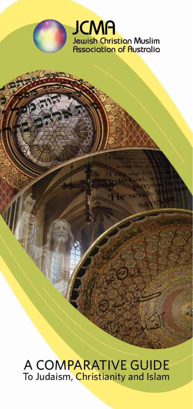

A COMPARATIVE GUIDE To Judaism, Christianity and Islam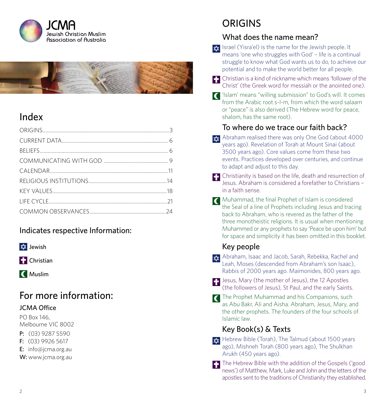



# Index

### Indicates respective Information:



**Christian** 

**C** Muslim

# For more information:

#### JCMA Office

PO Box 146, Melbourne VIC 8002

- P: (03) 9287 5590
- F: (03) 9926 5617
- E: info@jcma.org.au
- W: www.jcma.org.au

# **ORIGINS**

### What does the name mean?

- $\frac{1}{2}$  Israel (Yisra'el) is the name for the Jewish people. It means 'one who struggles with God' – life is a continual struggle to know what God wants us to do, to achieve our potential and to make the world better for all people.
- Christian is a kind of nickname which means 'follower of the Christ' (the Greek word for messiah or the anointed one).
- 'Islam' means "willing submission" to God's will. It comes from the Arabic root s-l-m, from which the word salaam or "peace" is also derived (The Hebrew word for peace, shalom, has the same root).

## To where do we trace our faith back?

- $x$  Abraham realised there was only One God (about 4000 years ago). Revelation of Torah at Mount Sinai (about 3500 years ago). Core values come from these two events. Practices developed over centuries, and continue to adapt and adjust to this day.
- **Christianity is based on the life, death and resurrection of** Jesus. Abraham is considered a forefather to Christians – in a faith sense.
- Muhammad, the final Prophet of Islam is considered the Seal of a line of Prophets including Jesus and tracing back to Abraham, who is revered as the father of the three monotheistic religions. It is usual when mentioning Muhammed or any prophets to say 'Peace be upon him' but for space and simplicity it has been omitted in this booklet.

## Key people

- $\frac{1}{2}$  Abraham, Isaac and Jacob, Sarah, Rebekka, Rachel and Leah, Moses (descended from Abraham's son Isaac), Rabbis of 2000 years ago. Maimonides, 800 years ago.
- **Jesus, Mary (the mother of Jesus), the 12 Apostles** (the followers of Jesus), St Paul, and the early Saints.
- The Prophet Muhammad and his Companions, such as Abu Bakr, Ali and Aisha. Abraham, Jesus, Mary, and the other prophets. The founders of the four schools of Islamic law.

## Key Book(s) & Texts

- $\frac{1}{2}$  Hebrew Bible (Torah), The Talmud (about 1500 years ago), Mishneh Torah (800 years ago), The Shulkhan Arukh (450 years ago).
- The Hebrew Bible with the addition of the Gospels ('good news') of Matthew, Mark, Luke and John and the letters of the apostles sent to the traditions of Christianity they established.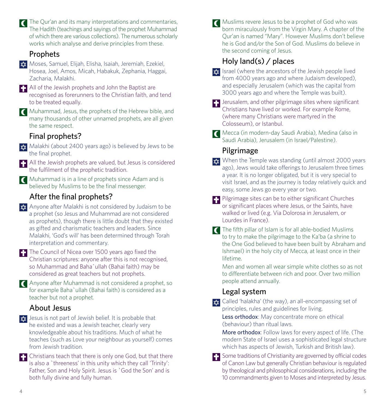The Qur'an and its many interpretations and commentaries. The Hadith (teachings and sayings of the prophet Muhammad of which there are various collections). The numerous scholarly works which analyse and derive principles from these.

#### Prophets

- Moses, Samuel, Elijah, Elisha, Isaiah, Jeremiah, Ezekiel, Hosea, Joel, Amos, Micah, Habakuk, Zephania, Haggai, Zacharia, Malakhi.
- **F** All of the Jewish prophets and John the Baptist are recognised as forerunners to the Christian faith, and tend to be treated equally.
- **T** Muhammad, Jesus, the prophets of the Hebrew bible, and many thousands of other unnamed prophets, are all given the same respect.

## Final prophets?

 $\star$  Malakhi (about 2400 years ago) is believed by Jews to be the final prophet.

**F-** All the Jewish prophets are valued, but Jesus is considered the fulfilment of the prophetic tradition.

Muhammad is in a line of prophets since Adam and is believed by Muslims to be the final messenger.

## After the final prophets?

- **A** Anyone after Malakhi is not considered by Judaism to be a prophet (so Jesus and Muhammad are not considered as prophets), though there is little doubt that they existed as gifted and charismatic teachers and leaders. Since Malakhi, 'God's will' has been determined through Torah interpretation and commentary.
- The Council of Nicea over 1500 years ago fixed the Christian scriptures: anyone after this is not recognised, so Muhammad and Baha`ullah (Bahai faith) may be considered as great teachers but not prophets.

Anyone after Muhammad is not considered a prophet, so for example Baha`ullah (Bahai faith) is considered as a teacher but not a prophet.

## About Jesus

- $\frac{1}{x}$  Jesus is not part of Jewish belief. It is probable that he existed and was a Jewish teacher, clearly very knowledgeable about his traditions. Much of what he teaches (such as Love your neighbour as yourself) comes from Jewish tradition.
- Christians teach that there is only one God, but that there is also a `threeness' in this unity which they call 'Trinity': Father, Son and Holy Spirit. Jesus is `God the Son' and is both fully divine and fully human.

Muslims revere Jesus to be a prophet of God who was  $\overline{C}$ born miraculously from the Virgin Mary. A chapter of the Qur'an is named "Mary". However Muslims don't believe he is God and/or the Son of God. Muslims do believe in the second coming of Jesus.

## Holy land(s) / places

- $\frac{1}{2}$  Israel (where the ancestors of the Jewish people lived from 4000 years ago and where Judaism developed), and especially Jerusalem (which was the capital from 3000 years ago and where the Temple was built).
- $\Box$  Jerusalem, and other pilgrimage sites where significant Christians have lived or worked. For example Rome, (where many Christians were martyred in the Colosseum), or Istanbul.
- Mecca (in modern-day Saudi Arabia), Medina (also in Saudi Arabia), Jerusalem (in Israel/Palestine).

## Pilgrimage

- $x^2$  When the Temple was standing (until almost 2000 years ago), Jews would take offerings to Jerusalem three times a year. It is no longer obligated, but it is very special to visit Israel, and as the journey is today relatively quick and easy, some Jews go every year or two.
- Pilgrimage sites can be to either significant Churches or significant places where Jesus, or the Saints, have walked or lived (e.g. Via Dolorosa in Jerusalem, or Lourdes in France).
- The fifth pillar of Islam is for all able-bodied Muslims to try to make the pilgrimage to the Ka'ba (a shrine to the One God believed to have been built by Abraham and Ishmael) in the holy city of Mecca, at least once in their lifetime.

Men and women all wear simple white clothes so as not to differentiate between rich and poor. Over two million people attend annually.

### Legal system

 $\star$  Called 'halakha' (the way), an all-encompassing set of principles, rules and guidelines for living.

Less orthodox: May concentrate more on ethical (behaviour) than ritual laws.

More orthodox: Follow laws for every aspect of life. (The modern State of Israel uses a sophisticated legal structure which has aspects of Jewish, Turkish and British law).

Some traditions of Christianity are governed by official codes of Canon Law but generally Christian behaviour is regulated by theological and philosophical considerations, including the 10 commandments given to Moses and interpreted by Jesus.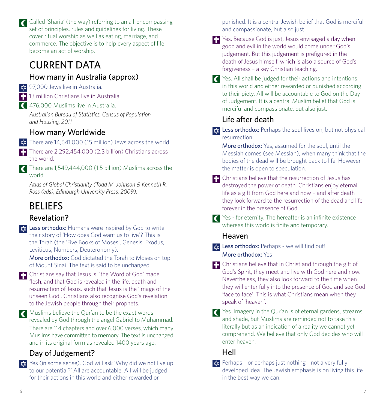Called 'Sharia' (the way) referring to an all-encompassing set of principles, rules and guidelines for living. These cover ritual worship as well as eating, marriage, and commerce. The objective is to help every aspect of life become an act of worship.

# CURRENT DATA

## How many in Australia (approx)

**xx** 97,000 Jews live in Australia.

**13 million Christians live in Australia.** 

476,000 Muslims live in Australia.

*Australian Bureau of Statistics, Census of Population and Housing, 2011*

## How many Worldwide

 $\frac{1}{2}$  There are 14,641,000 (15 million) Jews across the world.

There are 2,292,454,000 (2.3 billion) Christians across the world.

There are 1,549,444,000 (1.5 billion) Muslims across the world.

*Atlas of Global Christianity (Todd M. Johnson & Kenneth R. Ross (eds), Edinburgh University Press, 2009).*

# BELIEFS

## Revelation?

**xx** Less orthodox: Humans were inspired by God to write their story of 'How does God want us to live'? This is the Torah (the 'Five Books of Moses', Genesis, Exodus, Leviticus, Numbers, Deuteronomy).

More orthodox: God dictated the Torah to Moses on top of Mount Sinai. The text is said to be unchanged.

- Christians say that Jesus is `the Word of God' made flesh, and that God is revealed in the life, death and resurrection of Jesus, such that Jesus is the 'image of the unseen God'. Christians also recognise God's revelation to the Jewish people through their prophets.
- Muslims believe the Qur'an to be the exact words revealed by God through the angel Gabriel to Muhammad. There are 114 chapters and over 6,000 verses, which many Muslims have committed to memory. The text is unchanged and in its original form as revealed 1400 years ago.

## Day of Judgement?

**x** Yes (in some sense). God will ask 'Why did we not live up to our potential?' All are accountable. All will be judged for their actions in this world and either rewarded or

punished. It is a central Jewish belief that God is merciful and compassionate, but also just.

- Yes. Because God is just, Jesus envisaged a day when good and evil in the world would come under God's judgement. But this judgement is prefigured in the death of Jesus himself, which is also a source of God's forgiveness – a key Christian teaching.
- Yes. All shall be judged for their actions and intentions in this world and either rewarded or punished according to their piety. All will be accountable to God on the Day of Judgement. It is a central Muslim belief that God is merciful and compassionate, but also just.

## Life after death

 $\frac{1}{2}$  Less orthodox: Perhaps the soul lives on, but not physical resurrection.

More orthodox: Yes, assumed for the soul, until the Messiah comes (see Messiah), when many think that the bodies of the dead will be brought back to life. However the matter is open to speculation.

- $\Box$  Christians believe that the resurrection of Jesus has destroyed the power of death. Christians enjoy eternal life as a gift from God here and now – and after death they look forward to the resurrection of the dead and life forever in the presence of God.
- Yes for eternity. The hereafter is an infinite existence whereas this world is finite and temporary.

## Heaven

 $\star$  Less orthodox: Perhaps - we will find out! More orthodox: Yes

- Christians believe that in Christ and through the gift of God's Spirit, they meet and live with God here and now. Nevertheless, they also look forward to the time when they will enter fully into the presence of God and see God 'face to face'. This is what Christians mean when they speak of 'heaven'.
- Yes. Imagery in the Qur'an is of eternal gardens, streams, and shade, but Muslims are reminded not to take this literally but as an indication of a reality we cannot yet comprehend. We believe that only God decides who will enter heaven.

## Hell

 $\vec{x}$  Perhaps – or perhaps just nothing - not a very fully developed idea. The Jewish emphasis is on living this life in the best way we can.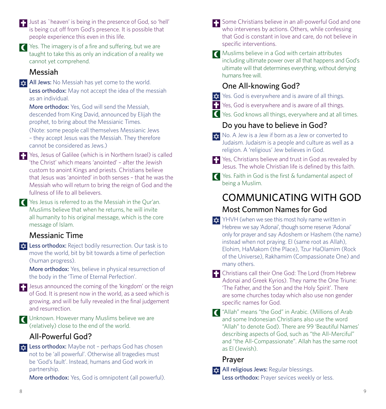- **Th** Just as `heaven' is being in the presence of God, so 'hell' is being cut off from God's presence. It is possible that people experience this even in this life.
- $\blacksquare$  Yes. The imagery is of a fire and suffering, but we are taught to take this as only an indication of a reality we cannot yet comprehend.

#### Messiah

**xx** All Jews: No Messiah has yet come to the world. Less orthodox: May not accept the idea of the messiah as an individual.

More orthodox: Yes, God will send the Messiah descended from King David, announced by Elijah the prophet, to bring about the Messianic Times.

(Note: some people call themselves Messianic Jews – they accept Jesus was the Messiah. They therefore cannot be considered as Jews.)

- **T** Yes, Jesus of Galilee (which is in Northern Israel) is called 'the Christ' which means 'anointed' – after the Jewish custom to anoint Kings and priests. Christians believe that Jesus was 'anointed' in both senses – that he was the Messiah who will return to bring the reign of God and the fullness of life to all believers.
- Yes Jesus is referred to as the Messiah in the Qur'an. Muslims believe that when he returns, he will invite all humanity to his original message, which is the core message of Islam.

### Messianic Time

**the Less orthodox:** Reject bodily resurrection. Our task is to move the world, bit by bit towards a time of perfection (human progress).

More orthodox: Yes, believe in physical resurrection of the body in the 'Time of Eternal Perfection'.

 $\Box$  Jesus announced the coming of the 'kingdom' or the reign of God. It is present now in the world, as a seed which is growing, and will be fully revealed in the final judgement and resurrection.

Unknown. However many Muslims believe we are (relatively) close to the end of the world.

## All-Powerful God?

 $\star$  Less orthodox: Maybe not - perhaps God has chosen not to be 'all powerful'. Otherwise all tragedies must be 'God's fault'. Instead, humans and God work in partnership.

More orthodox: Yes, God is omnipotent (all powerful).

- Some Christians believe in an all-powerful God and one who intervenes by actions. Others, while confessing that God is constant in love and care, do not believe in specific interventions.
- Muslims believe in a God with certain attributes including ultimate power over all that happens and God's ultimate will that determines everything, without denying humans free will.

## One All-knowing God?

- **xx** Yes. God is everywhere and is aware of all things.
- **F.** Yes, God is everywhere and is aware of all things.
- Yes. God knows all things, everywhere and at all times.

## Do you have to believe in God?

- $\star$  No. A Jew is a Jew if born as a Jew or converted to Judaism. Judaism is a people and culture as well as a religion. A 'religious' Jew believes in God.
- **F** Yes, Christians believe and trust in God as revealed by Jesus. The whole Christian life is defined by this faith.

Yes. Faith in God is the first & fundamental aspect of being a Muslim.

# COMMUNICATING WITH GOD Most Common Names for God

- $\frac{1}{2}$  YHVH (when we see this most holy name written in Hebrew we say 'Adonai', though some reserve 'Adonai' only for prayer and say Adoshem or Hashem (the name) instead when not praying. El (same root as Allah), Elohim, HaMakom (the Place), Tzur HaOlamim (Rock of the Universe), Rakhamim (Compassionate One) and many others.
- Christians call their One God: The Lord (from Hebrew Adonai and Greek Kyrios). They name the One Triune: 'The Father, and the Son and the Holy Spirit'. There are some churches today which also use non gender specific names for God.
- "Allah" means "the God" in Arabic. (Millions of Arab and some Indonesian Christians also use the word "Allah" to denote God). There are 99 'Beautiful Names' describing aspects of God, such as "the All-Merciful" and "the All-Compassionate". Allah has the same root as El (Jewish).

### Prayer

**All religious Jews:** Regular blessings. Less orthodox: Prayer sevices weekly or less.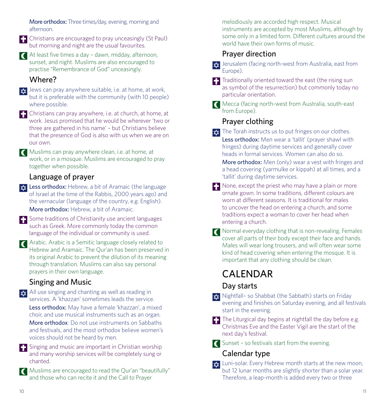More orthodox: Three times/day, evening, morning and afternoon.

**Christians are encouraged to pray unceasingly (St Paul)** but morning and night are the usual favourites.

At least five times a day – dawn, midday, afternoon, sunset, and night. Muslims are also encouraged to practise "Remembrance of God" unceasingly.

#### Where?

 $\frac{1}{x}$  Jews can pray anywhere suitable, i.e. at home, at work. but it is preferable with the community (with 10 people) where possible.

Christians can pray anywhere, i.e. at church, at home, at work. Jesus promised that he would be wherever 'two or three are gathered in his name' – but Christians believe that the presence of God is also with us when we are on our own.

Muslims can pray anywhere clean, i.e. at home, at work, or in a mosque. Muslims are encouraged to pray together when possible.

#### Language of prayer

 $\star$  Less orthodox: Hebrew, a bit of Aramaic (the language of Israel at the time of the Rabbis, 2000 years ago) and the vernacular (language of the country, e.g. English). More orthodox: Hebrew, a bit of Aramaic.

Some traditions of Christianity use ancient languages such as Greek. More commonly today the common language of the individual or community is used.

**Arabic.** Arabic is a Semitic language closely related to Hebrew and Aramaic. The Qur'an has been preserved in its original Arabic to prevent the dilution of its meaning through translation. Muslims can also say personal prayers in their own language.

#### Singing and Music

 $\frac{1}{2}$  All use singing and chanting as well as reading in services. A 'khazzan' sometimes leads the service. Less orthodox: May have a female 'khazzan', a mixed

choir, and use musical instruments such as an organ. More orthodox: Do not use instruments on Sabbaths

and festivals, and the most orthodox believe women's voices should not be heard by men.

**ED** Singing and music are important in Christian worship and many worship services will be completely sung or chanted.

Muslims are encouraged to read the Qur'an "beautifully" and those who can recite it and the Call to Prayer

melodiously are accorded high respect. Musical instruments are accepted by most Muslims, although by some only in a limited form. Different cultures around the world have their own forms of music.

#### Prayer direction

**x** Jerusalem (facing north-west from Australia, east from Europe).

The Traditionally oriented toward the east (the rising sun as symbol of the resurrection) but commonly today no particular orientation.

**Mecca (facing north-west from Australia, south-east** from Europe).

### Prayer clothing

 $\star$  The Torah instructs us to put fringes on our clothes. Less orthodox: Men wear a 'tallit' (prayer shawl with fringes) during daytime services and generally cover heads in formal services. Women can also do so.

More orthodox: Men (only) wear a vest with fringes and a head covering (yarmulke or kippah) at all times, and a 'tallit' during daytime services.

- $\Box$  None, except the priest who may have a plain or more ornate gown. In some traditions, different colours are worn at different seasons. It is traditional for males to uncover the head on entering a church, and some traditions expect a woman to cover her head when entering a church.
- Normal everyday clothing that is non-revealing. Females cover all parts of their body except their face and hands. Males will wear long trousers, and will often wear some kind of head covering when entering the mosque. It is important that any clothing should be clean.

# CALENDAR

### Day starts

- **x** Nightfall- so Shabbat (the Sabbath) starts on Friday evening and finishes on Saturday evening, and all festivals start in the evening.
- $\Box$  The Liturgical day begins at nightfall the day before e.g. Christmas Eve and the Easter Vigil are the start of the next day's festival.
- **C** Sunset so festivals start from the evening.

## Calendar type

 $\frac{1}{22}$  Luni-solar. Every Hebrew month starts at the new moon, but 12 lunar months are slightly shorter than a solar year. Therefore, a leap-month is added every two or three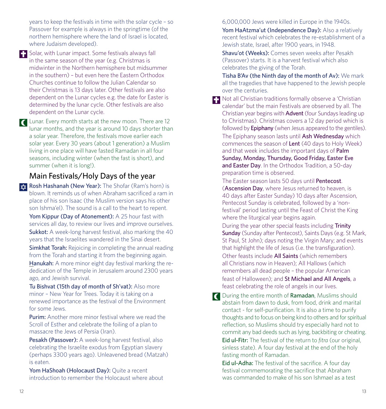years to keep the festivals in time with the solar cycle – so Passover for example is always in the springtime (of the northern hemisphere where the land of Israel is located, where Judaism developed).

**F.** Solar, with Lunar impact. Some festivals always fall in the same season of the year (e.g. Christmas is midwinter in the Northern hemisphere but midsummer in the southern) – but even here the Eastern Orthodox Churches continue to follow the Julian Calendar so their Christmas is 13 days later. Other festivals are also dependent on the Lunar cycles e.g. the date for Easter is determined by the lunar cycle. Other festivals are also dependent on the Lunar cycle.

**C** Lunar. Every month starts at the new moon. There are 12 lunar months, and the year is around 10 days shorter than a solar year. Therefore, the festivals move earlier each solar year. Every 30 years (about 1 generation) a Muslim living in one place will have fasted Ramadan in all four seasons, including winter (when the fast is short), and summer (when it is long!).

#### Main Festivals/Holy Days of the year

 $\star$  Rosh Hashanah (New Year): The Shofar (Ram's horn) is blown. It reminds us of when Abraham sacrificed a ram in place of his son Isaac (the Muslim version says his other son Ishma'el). The sound is a call to the heart to repent. Yom Kippur (Day of Atonement): A 25 hour fast with services all day, to review our lives and improve ourselves. Sukkot: A week-long harvest festival, also marking the 40

years that the Israelites wandered in the Sinai desert. Simkhat Torah: Rejoicing in completing the annual reading from the Torah and starting it from the beginning again.

Hanukah: A more minor eight day festival marking the rededication of the Temple in Jerusalem around 2300 years ago, and Jewish survival.

Tu Bishvat (15th day of month of Sh'vat): Also more minor – New Year for Trees. Today it is taking on a renewed importance as the festival of the Environment for some Jews.

Purim: Another more minor festival where we read the Scroll of Esther and celebrate the foiling of a plan to massacre the Jews of Persia (Iran).

Pesakh (Passover): A week-long harvest festival, also celebrating the Israelite exodus from Egyptian slavery (perhaps 3300 years ago). Unleavened bread (Matzah) is eaten.

Yom HaShoah (Holocaust Day): Quite a recent introduction to remember the Holocaust where about 6,000,000 Jews were killed in Europe in the 1940s.

Yom HaAtzma'ut (Independence Day): Also a relatively recent festival which celebrates the re-establishment of a Jewish state, Israel, after 1900 years, in 1948.

Shavu'ot (Weeks): Comes seven weeks after Pesakh (Passover) starts. It is a harvest festival which also celebrates the giving of the Torah.

Tisha B'Av (the Ninth day of the month of Av): We mark all the tragedies that have happened to the Jewish people over the centuries.

**Not all Christian traditions formally observe a 'Christian'** calendar' but the main Festivals are observed by all. The Christian year begins with Advent (four Sundays leading up to Christmas). Christmas covers a 12 day period which is followed by **Epiphany** (when Jesus appeared to the gentiles). The Epiphany season lasts until Ash Wednesday which commences the season of Lent (40 days to Holy Week) and that week includes the important days of **Palm** Sunday, Monday, Thursday, Good Friday, Easter Eve and Easter Day. In the Orthodox Tradition, a 50-day preparation time is observed.

The Easter season lasts 50 days until **Pentecost**. (Ascension Day, where Jesus returned to heaven, is 40 days after Easter Sunday) 10 days after Ascension, Pentecost Sunday is celebrated, followed by a 'nonfestival' period lasting until the Feast of Christ the King where the liturgical year begins again.

During the year other special feasts including Trinity Sunday (Sunday after Pentecost), Saints Days (e.g. St Mark, St Paul, St John); days noting the Virgin Mary; and events that highlight the life of Jesus (i.e. the transfiguration).

Other feasts include All Saints (which remembers all Christians now in Heaven); All Hallows (which remembers all dead people – the popular American feast of Halloween); and St Michael and All Angels, a feast celebrating the role of angels in our lives.

**C** During the entire month of Ramadan, Muslims should abstain from dawn to dusk, from food, drink and marital contact - for self-purification. It is also a time to purify thoughts and to focus on being kind to others and for spiritual reflection, so Muslims should try especially hard not to commit any bad deeds such as lying, backbiting or cheating. Eid ul-Fitr: The festival of the return to *fitra* (our original, sinless state). A four day festival at the end of the holy fasting month of Ramadan.

Eid ul-Adha: The festival of the sacrifice. A four day festival commemorating the sacrifice that Abraham was commanded to make of his son Ishmael as a test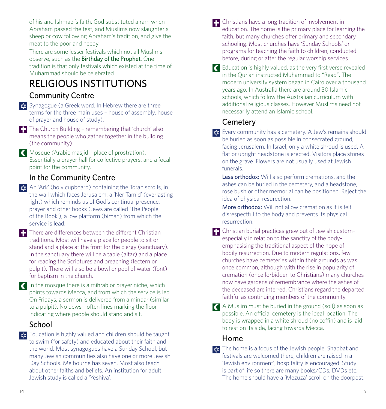of his and Ishmael's faith. God substituted a ram when Abraham passed the test, and Muslims now slaughter a sheep or cow following Abraham's tradition, and give the meat to the poor and needy.

There are some lesser festivals which not all Muslims observe, such as the Birthday of the Prophet. One tradition is that only festivals which existed at the time of Muhammad should be celebrated.

# RELIGIOUS INSTITUTIONS

## Community Centre

- **x** Synagogue (a Greek word. In Hebrew there are three terms for the three main uses – house of assembly, house of prayer and house of study).
- The Church Building remembering that 'church' also means the people who gather together in the building (the community).
- Mosque (Arabic masjid place of prostration). Essentially a prayer hall for collective prayers, and a focal point for the community.

## In the Community Centre

- **x** An 'Ark' (holy cupboard) containing the Torah scrolls, in the wall which faces Jerusalem, a 'Ner Tamid' (everlasting light) which reminds us of God's continual presence, prayer and other books (Jews are called 'The People of the Book'), a low platform (bimah) from which the service is lead.
- There are differences between the different Christian traditions. Most will have a place for people to sit or stand and a place at the front for the clergy (sanctuary). In the sanctuary there will be a table (altar) and a place for reading the Scriptures and preaching (lectern or pulpit). There will also be a bowl or pool of water (font) for baptism in the church.
- $\blacksquare$  In the mosque there is a mihrab or prayer niche, which points towards Mecca, and from which the service is led. On Fridays, a sermon is delivered from a minbar (similar to a pulpit). No pews - often lines marking the floor indicating where people should stand and sit.

## School

 $\frac{1}{2}$  Education is highly valued and children should be taught to swim (for safety) and educated about their faith and the world. Most synagogues have a Sunday School, but many Jewish communities also have one or more Jewish Day Schools. Melbourne has seven. Most also teach about other faiths and beliefs. An institution for adult Jewish study is called a 'Yeshiva'.

- **C** Christians have a long tradition of involvement in education. The home is the primary place for learning the faith, but many churches offer primary and secondary schooling. Most churches have 'Sunday Schools' or programs for teaching the faith to children, conducted before, during or after the regular worship services
- Education is highly valued, as the very first verse revealed in the Qur'an instructed Muhammad to "Read". The modern university system began in Cairo over a thousand years ago. In Australia there are around 30 Islamic schools, which follow the Australian curriculum with additional religious classes. However Muslims need not necessarily attend an Islamic school.

## **Cemetery**

- **EVELAU COMMUNIST AT A SET A** Jew's remains should be buried as soon as possible in consecrated ground, facing Jerusalem. In Israel, only a white shroud is used. A flat or upright headstone is erected. Visitors place stones on the grave. Flowers are not usually used at Jewish funerals.
	- Less orthodox: Will also perform cremations, and the ashes can be buried in the cemetery, and a headstone, rose bush or other memorial can be positioned. Reject the idea of physical resurection.
	- More orthodox: Will not allow cremation as it is felt disrespectful to the body and prevents its physical resurrection.
- Christian burial practices grew out of Jewish custom– especially in relation to the sanctity of the body– emphasising the traditional aspect of the hope of bodily resurrection. Due to modern regulations, few churches have cemeteries within their grounds as was once common, although with the rise in popularity of cremation (once forbidden to Christians) many churches now have gardens of remembrance where the ashes of the deceased are interred. Christians regard the departed faithful as continuing members of the community.
- A Muslim must be buried in the ground (soil) as soon as possible. An official cemetery is the ideal location. The body is wrapped in a white shroud (no coffin) and is laid to rest on its side, facing towards Mecca.

## Home

 $\frac{1}{x}$  The home is a focus of the Jewish people. Shabbat and festivals are welcomed there, children are raised in a 'Jewish environment', hospitality is encouraged. Study is part of life so there are many books/CDs, DVDs etc. The home should have a 'Mezuza' scroll on the doorpost.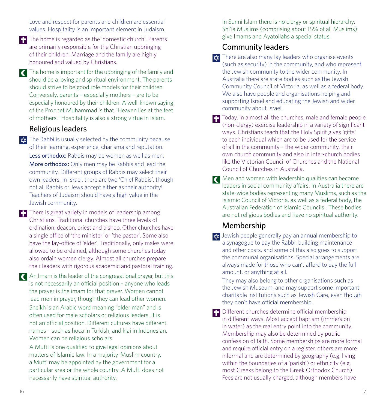Love and respect for parents and children are essential values. Hospitality is an important element in Judaism.

The home is regarded as the 'domestic church'. Parents are primarily responsible for the Christian upbringing of their children. Marriage and the family are highly honoured and valued by Christians.

The home is important for the upbringing of the family and should be a loving and spiritual environment. The parents should strive to be good role models for their children. Conversely, parents – especially mothers – are to be especially honoured by their children. A well-known saying of the Prophet Muhammad is that "Heaven lies at the feet of mothers." Hospitality is also a strong virtue in Islam.

#### Religious leaders

 $\star$  The Rabbi is usually selected by the community because of their learning, experience, charisma and reputation. Less orthodox: Rabbis may be women as well as men. More orthodox: Only men may be Rabbis and lead the community. Different groups of Rabbis may select their own leaders. In Israel, there are two 'Chief Rabbis', though not all Rabbis or Jews accept either as their authority! Teachers of Judaism should have a high value in the Jewish community.

There is great variety in models of leadership among Christians. Traditional churches have three levels of ordination: deacon, priest and bishop. Other churches have a single office of 'the minister' or 'the pastor'. Some also have the lay-office of 'elder'. Traditionally, only males were allowed to be ordained, although some churches today also ordain women clergy. Almost all churches prepare their leaders with rigorous academic and pastoral training.

An Imam is the leader of the congregational prayer, but this is not necessarily an official position – anyone who leads the prayer is the imam for that prayer. Women cannot lead men in prayer, though they can lead other women. Sheikh is an Arabic word meaning "older man" and is often used for male scholars or religious leaders. It is not an official position. Different cultures have different names – such as hoca in Turkish, and kiai in Indonesian. Women can be religious scholars.

A Mufti is one qualified to give legal opinions about matters of Islamic law. In a majority-Muslim country, a Mufti may be appointed by the government for a particular area or the whole country. A Mufti does not necessarily have spiritual authority.

In Sunni Islam there is no clergy or spiritual hierarchy. Shi'ia Muslims (comprising about 15% of all Muslims) give Imams and Ayatollahs a special status.

### Community leaders

 $\star$  There are also many lay leaders who organise events (such as security) in the community, and who represent the Jewish community to the wider community. In Australia there are state bodies such as the Jewish Community Council of Victoria, as well as a federal body. We also have people and organisations helping and supporting Israel and educating the Jewish and wider community about Israel.

Today, in almost all the churches, male and female people (non-clergy) exercise leadership in a variety of significant ways. Christians teach that the Holy Spirit gives 'gifts' to each individual which are to be used for the service of all in the community – the wider community, their own church community and also in inter-church bodies like the Victorian Council of Churches and the National Council of Churches in Australia.

**T** Men and women with leadership qualities can become leaders in social community affairs. In Australia there are state-wide bodies representing many Muslims, such as the Islamic Council of Victoria, as well as a federal body, the Australian Federation of Islamic Councils . These bodies are not religious bodies and have no spiritual authority.

### Membership

 $\frac{1}{2}$  Jewish people generally pay an annual membership to a synagogue to pay the Rabbi, building maintenance and other costs, and some of this also goes to support the communal organisations. Special arrangements are always made for those who can't afford to pay the full amount, or anything at all.

They may also belong to other organisations such as the Jewish Museum, and may support some important charitable institutions such as Jewish Care, even though they don't have official membership.

**Different churches determine official membership** in different ways. Most accept baptism (immersion in water) as the real entry point into the community. Membership may also be determined by public confession of faith. Some memberships are more formal and require official entry on a register, others are more informal and are determined by geography (e.g. living within the boundaries of a 'parish') or ethnicity (e.g. most Greeks belong to the Greek Orthodox Church). Fees are not usually charged, although members have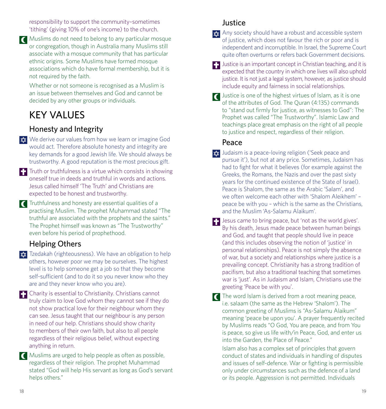responsibility to support the community–sometimes 'tithing' (giving 10% of one's income) to the church.

Muslims do not need to belong to any particular mosque or congregation, though in Australia many Muslims still associate with a mosque community that has particular ethnic origins. Some Muslims have formed mosque associations which do have formal membership, but it is not required by the faith.

Whether or not someone is recognised as a Muslim is an issue between themselves and God and cannot be decided by any other groups or individuals.

## KEY VALUES

### Honesty and Integrity

- **x** We derive our values from how we learn or imagine God would act. Therefore absolute honesty and integrity are key demands for a good Jewish life. We should always be trustworthy. A good reputation is the most precious gift.
- $\blacksquare$  Truth or truthfulness is a virtue which consists in showing oneself true in deeds and truthful in words and actions. Jesus called himself 'The Truth' and Christians are expected to be honest and trustworthy.
- Truthfulness and honesty are essential qualities of a practising Muslim. The prophet Muhammad stated "The truthful are associated with the prophets and the saints." The Prophet himself was known as "The Trustworthy" even before his period of prophethood.

## Helping Others

**Ex** Tzedakah (righteousness). We have an obligation to help others, however poor we may be ourselves. The highest level is to help someone get a job so that they become self-sufficient (and to do it so you never know who they are and they never know who you are).

Charity is essential to Christianity. Christians cannot truly claim to love God whom they cannot see if they do not show practical love for their neighbour whom they can see. Jesus taught that our neighbour is any person in need of our help. Christians should show charity to members of their own faith, but also to all people regardless of their religious belief, without expecting anything in return.

Muslims are urged to help people as often as possible, regardless of their religion. The prophet Muhammad stated "God will help His servant as long as God's servant helps others."

#### Justice

- $\star$  Any society should have a robust and accessible system of justice, which does not favour the rich or poor and is independent and incorruptible. In Israel, the Supreme Court quite often overturns or refers back Government decisions.
- **Justice is an important concept in Christian teaching, and it is** expected that the country in which one lives will also uphold justice. It is not just a legal system, however, as justice should include equity and fairness in social relationships.
- Justice is one of the highest virtues of Islam, as it is one of the attributes of God. The Quran (4:135) commands to "stand out firmly for justice, as witnesses to God": The Prophet was called "The Trustworthy". Islamic Law and teachings place great emphasis on the right of all people to justice and respect, regardless of their religion.

### Peace

- $\frac{1}{\sqrt{2}}$  Judaism is a peace-loving religion ('Seek peace and pursue it'), but not at any price. Sometimes, Judaism has had to fight for what it believes (for example against the Greeks, the Romans, the Nazis and over the past sixty years for the continued existence of the State of Israel). Peace is Shalom, the same as the Arabic 'Salam', and we often welcome each other with 'Shalom Aleikhem' – peace be with you – which is the same as the Christians, and the Muslim 'As-Salamu Alaikum'.
- **J** Jesus came to bring peace, but 'not as the world gives'. By his death, Jesus made peace between human beings and God, and taught that people should live in peace (and this includes observing the notion of 'justice' in personal relationships). Peace is not simply the absence of war, but a society and relationships where justice is a prevailing concept. Christianity has a strong tradition of pacifism, but also a traditional teaching that sometimes war is 'just'. As in Judaism and Islam, Christians use the greeting 'Peace be with you'.
- The word Islam is derived from a root meaning peace, i.e. salaam (the same as the Hebrew 'Shalom'). The common greeting of Muslims is "As-Salamu Alaikum" meaning 'peace be upon you'. A prayer frequently recited by Muslims reads "O God, You are peace, and from You is peace, so give us life with/in Peace, God, and enter us into the Garden, the Place of Peace."

Islam also has a complex set of principles that govern conduct of states and individuals in handling of disputes and issues of self-defence. War or fighting is permissible only under circumstances such as the defence of a land or its people. Aggression is not permitted. Individuals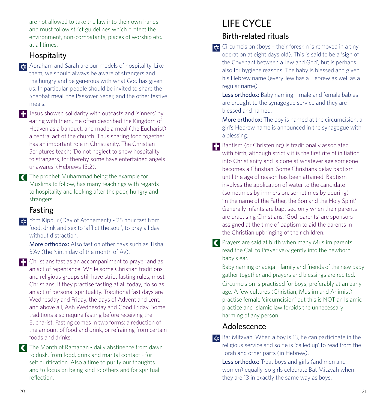are not allowed to take the law into their own hands and must follow strict guidelines which protect the environment, non-combatants, places of worship etc. at all times.

#### Hospitality

 $\star$  Abraham and Sarah are our models of hospitality. Like them, we should always be aware of strangers and the hungry and be generous with what God has given us. In particular, people should be invited to share the Shabbat meal, the Passover Seder, and the other festive meals.

 $\blacksquare$  Jesus showed solidarity with outcasts and 'sinners' by eating with them. He often described the Kingdom of Heaven as a banquet, and made a meal (the Eucharist) a central act of the church. Thus sharing food together has an important role in Christianity. The Christian Scriptures teach: 'Do not neglect to show hospitality to strangers, for thereby some have entertained angels unawares' (Hebrews 13:2).

The prophet Muhammad being the example for Muslims to follow, has many teachings with regards to hospitality and looking after the poor, hungry and strangers.

### Fasting

**XX** Yom Kippur (Day of Atonement) - 25 hour fast from food, drink and sex to 'afflict the soul', to pray all day without distraction.

More orthodox: Also fast on other days such as Tisha B'Av (the Ninth day of the month of Av).

**Christians fast as an accompaniment to prayer and as** an act of repentance. While some Christian traditions and religious groups still have strict fasting rules, most Christians, if they practise fasting at all today, do so as an act of personal spirituality. Traditional fast days are Wednesday and Friday, the days of Advent and Lent, and above all, Ash Wednesday and Good Friday. Some traditions also require fasting before receiving the Eucharist. Fasting comes in two forms: a reduction of the amount of food and drink, or refraining from certain foods and drinks.

The Month of Ramadan - daily abstinence from dawn to dusk, from food, drink and marital contact - for self purification. Also a time to purify our thoughts and to focus on being kind to others and for spiritual reflection.

## LIFE CYCLE Birth-related rituals

 $\star$  Circumcision (boys - their foreskin is removed in a tiny operation at eight days old). This is said to be a 'sign of the Covenant between a Jew and God', but is perhaps also for hygiene reasons. The baby is blessed and given his Hebrew name (every Jew has a Hebrew as well as a regular name).

Less orthodox: Baby naming - male and female babies are brought to the synagogue service and they are blessed and named.

More orthodox: The boy is named at the circumcision, a girl's Hebrew name is announced in the synagogue with a blessing.

- **Baptism (or Christening) is traditionally associated** with birth, although strictly it is the first rite of initiation into Christianity and is done at whatever age someone becomes a Christian. Some Christians delay baptism until the age of reason has been attained. Baptism involves the application of water to the candidate (sometimes by immersion, sometimes by pouring) 'in the name of the Father, the Son and the Holy Spirit'. Generally infants are baptised only when their parents are practising Christians. 'God-parents' are sponsors assigned at the time of baptism to aid the parents in the Christian upbringing of their children.
- **C** Prayers are said at birth when many Muslim parents read the Call to Prayer very gently into the newborn baby's ear.

Baby naming or agiga – family and friends of the new baby gather together and prayers and blessings are recited. Circumcision is practised for boys, preferably at an early age. A few cultures (Christian, Muslim and Animist) practise female 'circumcision' but this is NOT an Islamic practice and Islamic law forbids the unnecessary harming of any person.

#### Adolescence

 $\frac{1}{2}$  Bar Mitzvah. When a boy is 13, he can participate in the religious service and so he is 'called up' to read from the Torah and other parts (in Hebrew).

Less orthodox: Treat boys and girls (and men and women) equally, so girls celebrate Bat Mitzvah when they are 13 in exactly the same way as boys.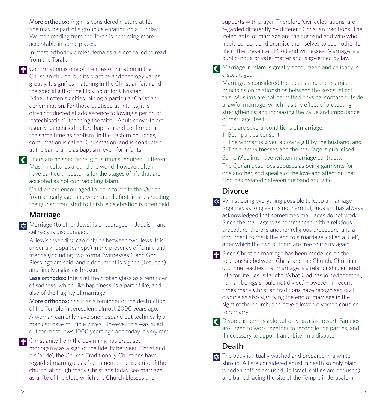More orthodox: A girl is considered mature at 12. She may be part of a group celebration on a Sunday. Women reading from the Torah is becoming more acceptable in some places.

In most orthodox circles, females are not called to read from the Torah.

**Confirmation is one of the rites of initiation in the** Christian church, but its practice and theology varies greatly. It signifies maturing in the Christian faith and the special gift of the Holy Spirit for Christian living. It often signifies joining a particular Christian denomination. For those baptised as infants, it is often conducted at adolescence following a period of 'catechisation' (teaching the faith). Adult converts are usually catechised before baptism and confirmed at the same time as baptism. In the Eastern churches, confirmation is called 'Chrismation' and is conducted at the same time as baptism, even for infants.

There are no specific religious rituals required. Different Muslim cultures around the world, however, often have particular customs for the stages of life that are accepted as not contradicting Islam.

Children are encouraged to learn to recite the Qur'an from an early age, and when a child first finishes reciting the Qur'an from start to finish, a celebration is often held.

#### Marriage

 $\frac{1}{\sqrt{2}}$  Marriage (to other Jews) is encouraged in Judaism and celibacy is discouraged.

A Jewish wedding can only be between two Jews. It is under a khuppa (canopy) in the presence of family and friends (including two formal 'witnesses'), and God. Blessings are said, and a document is signed (ketubah) and finally a glass is broken.

Less orthodox: Interpret the broken glass as a reminder of sadness, which, like happiness, is a part of life, and also of the fragility of marriage.

More orthodox: See it as a reminder of the destruction of the Temple in Jerusalem, almost 2000 years ago.

A woman can only have one husband but technically a man can have multiple wives. However this was ruled out for most Jews 1000 years ago and today is very rare.

**F** Christianity from the beginning has practised monogamy as a sign of the fidelity between Christ and his 'bride', the Church. Traditionally Christians have regarded marriage as a 'sacrament', that is, a rite of the church, although many Christians today see marriage as a rite of the state which the Church blesses and

supports with prayer. Therefore 'civil celebrations' are regarded differently by different Christian traditions. The 'celebrants' of marriage are the husband and wife who freely consent and promise themselves to each other for life in the presence of God and witnesses. Marriage is a public–not a private–matter and is governed by law.

**T** Marriage in Islam is greatly encouraged and celibacy is discouraged.

Marriage is considered the ideal state, and Islamic principles on relationships between the sexes reflect this. Muslims are not permitted physical contact outside a lawful marriage, which has the effect of protecting, strengthening and increasing the value and importance of marriage itself.

There are several conditions of marriage:

1. Both parties consent.

2. The woman is given a dowry/gift by the husband, and 3. There are witnesses and the marriage is publicised. Some Muslims have written marriage contracts.

The Qur'an describes spouses as being garments for one another, and speaks of the love and affection that God has created between husband and wife.

#### **Divorce**

- $\frac{1}{2}$  Whilst doing everything possible to keep a marriage together, as long as it is not harmful, Judaism has always acknowledged that sometimes marriages do not work. Since the marriage was commenced with a religious procedure, there is another religious procedure, and a document to mark the end to a marriage, called a 'Get', after which the two of them are free to marry again.
- Since Christian marriage has been modelled on the relationship between Christ and the Church, Christian doctrine teaches that marriage is a relationship entered into for life. Jesus taught 'What God has joined together, human beings should not divide.' However, in recent times many Christian traditions have recognised civil divorce as also signifying the end of marriage in the sight of the church, and have allowed divorced couples to remarry.
- Divorce is permissible but only as a last resort. Families are urged to work together to reconcile the parties, and if necessary to appoint an arbiter in a dispute.

## Death

 $\frac{1}{x}$  The body is ritually washed and prepared in a white shroud. All are considered equal in death so only plain wooden coffins are used (in Israel, coffins are not used), and buried facing the site of the Temple in Jerusalem.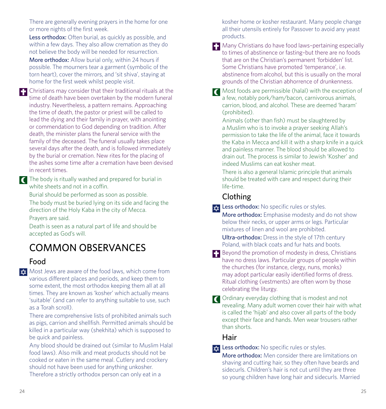There are generally evening prayers in the home for one or more nights of the first week.

Less orthodox: Often burial, as quickly as possible, and within a few days. They also allow cremation as they do not believe the body will be needed for resurrection.

More orthodox: Allow burial only, within 24 hours if possible. The mourners tear a garment (symbolic of the torn heart), cover the mirrors, and 'sit shiva', staying at home for the first week whilst people visit.

**Christians may consider that their traditional rituals at the** time of death have been overtaken by the modern funeral industry. Nevertheless, a pattern remains. Approaching the time of death, the pastor or priest will be called to lead the dying and their family in prayer, with anointing or commendation to God depending on tradition. After death, the minister plans the funeral service with the family of the deceased. The funeral usually takes place several days after the death, and is followed immediately by the burial or cremation. New rites for the placing of the ashes some time after a cremation have been devised in recent times.

The body is ritually washed and prepared for burial in white sheets and not in a coffin.

Burial should be performed as soon as possible. The body must be buried lying on its side and facing the direction of the Holy Kaba in the city of Mecca. Prayers are said.

Death is seen as a natural part of life and should be accepted as God's will.

# COMMON OBSERVANCES

#### Food

**x** Most Jews are aware of the food laws, which come from various different places and periods, and keep them to some extent, the most orthodox keeping them all at all times. They are known as 'kosher' which actually means 'suitable' (and can refer to anything suitable to use, such as a Torah scroll).

There are comprehensive lists of prohibited animals such as pigs, carrion and shellfish. Permitted animals should be killed in a particular way (shekhita) which is supposed to be quick and painless.

Any blood should be drained out (similar to Muslim Halal food laws). Also milk and meat products should not be cooked or eaten in the same meal. Cutlery and crockery should not have been used for anything unkosher. Therefore a strictly orthodox person can only eat in a

kosher home or kosher restaurant. Many people change all their utensils entirely for Passover to avoid any yeast products.

Many Christians do have food laws-pertaining especially to times of abstinence or fasting–but there are no foods that are on the Christian's permanent 'forbidden' list. Some Christians have promoted 'temperance', i.e. abstinence from alcohol, but this is usually on the moral grounds of the Christian abhorrence of drunkenness.

**T** Most foods are permissible (halal) with the exception of a few, notably pork/ham/bacon, carnivorous animals, carrion, blood, and alcohol. These are deemed 'haram' (prohibited).

Animals (other than fish) must be slaughtered by a Muslim who is to invoke a prayer seeking Allah's permission to take the life of the animal, face it towards the Kaba in Mecca and kill it with a sharp knife in a quick and painless manner. The blood should be allowed to drain out. The process is similar to Jewish 'Kosher' and indeed Muslims can eat kosher meat.

There is also a general Islamic principle that animals should be treated with care and respect during their life-time.

### Clothing

**x** Less orthodox: No specific rules or styles.

More orthodox: Emphasise modesty and do not show below their necks, or upper arms or legs. Particular mixtures of linen and wool are prohibited.

Ultra-orthodox: Dress in the style of 17th century Poland, with black coats and fur hats and boots.

- Beyond the promotion of modesty in dress, Christians have no dress laws. Particular groups of people within the churches (for instance, clergy, nuns, monks) may adopt particular easily identified forms of dress. Ritual clothing (vestments) are often worn by those celebrating the liturgy.
- **T** Ordinary everyday clothing that is modest and not revealing. Many adult women cover their hair with what is called the 'hijab' and also cover all parts of the body except their face and hands. Men wear trousers rather than shorts.

#### Hair

 $\star$  Less orthodox: No specific rules or styles.

More orthodox: Men consider there are limitations on shaving and cutting hair, so they often have beards and sidecurls. Children's hair is not cut until they are three so young children have long hair and sidecurls. Married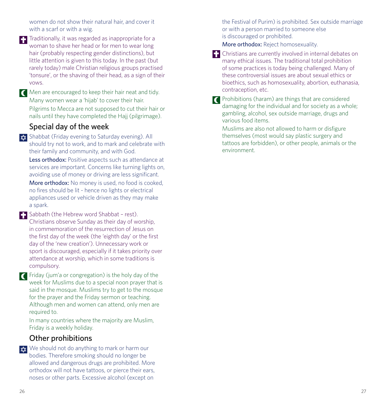women do not show their natural hair, and cover it with a scarf or with a wig.

**T** Traditionally, it was regarded as inappropriate for a woman to shave her head or for men to wear long hair (probably respecting gender distinctions), but little attention is given to this today. In the past (but rarely today) male Christian religious groups practised 'tonsure', or the shaving of their head, as a sign of their vows.

Men are encouraged to keep their hair neat and tidy. Many women wear a 'hijab' to cover their hair. Pilgrims to Mecca are not supposed to cut their hair or nails until they have completed the Hajj (pilgrimage).

#### Special day of the week

 $\frac{1}{2}$  Shabbat (Friday evening to Saturday evening). All should try not to work, and to mark and celebrate with their family and community, and with God.

Less orthodox: Positive aspects such as attendance at services are important. Concerns like turning lights on, avoiding use of money or driving are less significant.

More orthodox: No money is used, no food is cooked. no fires should be lit - hence no lights or electrical appliances used or vehicle driven as they may make a spark.

**Sabbath (the Hebrew word Shabbat - rest).** Christians observe Sunday as their day of worship, in commemoration of the resurrection of Jesus on the first day of the week (the 'eighth day' or the first day of the 'new creation'). Unnecessary work or sport is discouraged, especially if it takes priority over attendance at worship, which in some traditions is compulsory.

Friday (jum'a or congregation) is the holy day of the week for Muslims due to a special noon prayer that is said in the mosque. Muslims try to get to the mosque for the prayer and the Friday sermon or teaching. Although men and women can attend, only men are required to.

In many countries where the majority are Muslim, Friday is a weekly holiday.

#### Other prohibitions

 $\frac{1}{x}$  We should not do anything to mark or harm our bodies. Therefore smoking should no longer be allowed and dangerous drugs are prohibited. More orthodox will not have tattoos, or pierce their ears, noses or other parts. Excessive alcohol (except on

the Festival of Purim) is prohibited. Sex outside marriage or with a person married to someone else is discouraged or prohibited.

More orthodox: Reject homosexuality.

Christians are currently involved in internal debates on many ethical issues. The traditional total prohibition of some practices is today being challenged. Many of these controversial issues are about sexual ethics or bioethics, such as homosexuality, abortion, euthanasia, contraception, etc.

**Prohibitions (haram) are things that are considered** damaging for the individual and for society as a whole; gambling, alcohol, sex outside marriage, drugs and various food items.

Muslims are also not allowed to harm or disfigure themselves (most would say plastic surgery and tattoos are forbidden), or other people, animals or the environment.